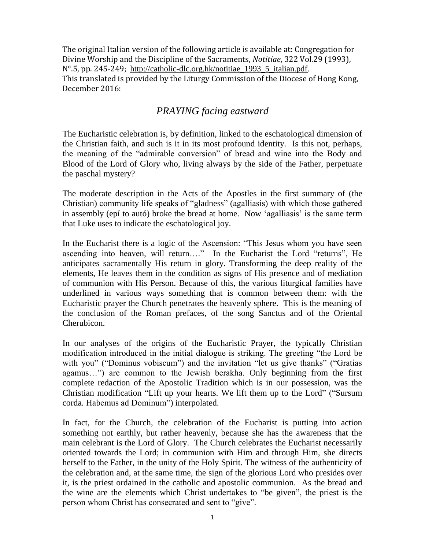The original Italian version of the following article is available at: Congregation for Divine Worship and the Discipline of the Sacraments, *Notitiae*, 322 Vol.29 (1993), N°.5, pp. 245-249; http://catholic-dlc.org.hk/notitiae\_1993\_5\_italian.pdf. This translated is provided by the Liturgy Commission of the Diocese of Hong Kong, December 2016:

## *PRAYING facing eastward*

The Eucharistic celebration is, by definition, linked to the eschatological dimension of the Christian faith, and such is it in its most profound identity. Is this not, perhaps, the meaning of the "admirable conversion" of bread and wine into the Body and Blood of the Lord of Glory who, living always by the side of the Father, perpetuate the paschal mystery?

The moderate description in the Acts of the Apostles in the first summary of (the Christian) community life speaks of "gladness" (agalliasis) with which those gathered in assembly (epí to autó) broke the bread at home. Now 'agalliasis' is the same term that Luke uses to indicate the eschatological joy.

In the Eucharist there is a logic of the Ascension: "This Jesus whom you have seen ascending into heaven, will return…." In the Eucharist the Lord "returns", He anticipates sacramentally His return in glory. Transforming the deep reality of the elements, He leaves them in the condition as signs of His presence and of mediation of communion with His Person. Because of this, the various liturgical families have underlined in various ways something that is common between them: with the Eucharistic prayer the Church penetrates the heavenly sphere. This is the meaning of the conclusion of the Roman prefaces, of the song Sanctus and of the Oriental Cherubicon.

In our analyses of the origins of the Eucharistic Prayer, the typically Christian modification introduced in the initial dialogue is striking. The greeting "the Lord be with you" ("Dominus vobiscum") and the invitation "let us give thanks" ("Gratias") agamus…") are common to the Jewish berakha. Only beginning from the first complete redaction of the Apostolic Tradition which is in our possession, was the Christian modification "Lift up your hearts. We lift them up to the Lord" ("Sursum corda. Habemus ad Dominum") interpolated.

In fact, for the Church, the celebration of the Eucharist is putting into action something not earthly, but rather heavenly, because she has the awareness that the main celebrant is the Lord of Glory. The Church celebrates the Eucharist necessarily oriented towards the Lord; in communion with Him and through Him, she directs herself to the Father, in the unity of the Holy Spirit. The witness of the authenticity of the celebration and, at the same time, the sign of the glorious Lord who presides over it, is the priest ordained in the catholic and apostolic communion. As the bread and the wine are the elements which Christ undertakes to "be given", the priest is the person whom Christ has consecrated and sent to "give".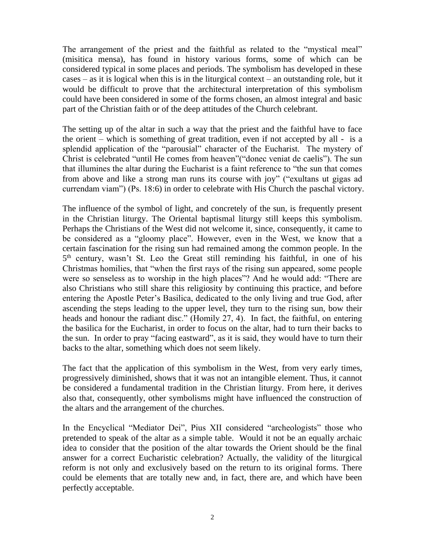The arrangement of the priest and the faithful as related to the "mystical meal" (misitica mensa), has found in history various forms, some of which can be considered typical in some places and periods. The symbolism has developed in these cases – as it is logical when this is in the liturgical context – an outstanding role, but it would be difficult to prove that the architectural interpretation of this symbolism could have been considered in some of the forms chosen, an almost integral and basic part of the Christian faith or of the deep attitudes of the Church celebrant.

The setting up of the altar in such a way that the priest and the faithful have to face the orient – which is something of great tradition, even if not accepted by all - is a splendid application of the "parousial" character of the Eucharist. The mystery of Christ is celebrated "until He comes from heaven"("donec veniat de caelis"). The sun that illumines the altar during the Eucharist is a faint reference to "the sun that comes from above and like a strong man runs its course with joy" ("exultans ut gigas ad currendam viam") (Ps. 18:6) in order to celebrate with His Church the paschal victory.

The influence of the symbol of light, and concretely of the sun, is frequently present in the Christian liturgy. The Oriental baptismal liturgy still keeps this symbolism. Perhaps the Christians of the West did not welcome it, since, consequently, it came to be considered as a "gloomy place". However, even in the West, we know that a certain fascination for the rising sun had remained among the common people. In the 5<sup>th</sup> century, wasn't St. Leo the Great still reminding his faithful, in one of his Christmas homilies, that "when the first rays of the rising sun appeared, some people were so senseless as to worship in the high places"? And he would add: "There are also Christians who still share this religiosity by continuing this practice, and before entering the Apostle Peter's Basilica, dedicated to the only living and true God, after ascending the steps leading to the upper level, they turn to the rising sun, bow their heads and honour the radiant disc." (Homily 27, 4). In fact, the faithful, on entering the basilica for the Eucharist, in order to focus on the altar, had to turn their backs to the sun. In order to pray "facing eastward", as it is said, they would have to turn their backs to the altar, something which does not seem likely.

The fact that the application of this symbolism in the West, from very early times, progressively diminished, shows that it was not an intangible element. Thus, it cannot be considered a fundamental tradition in the Christian liturgy. From here, it derives also that, consequently, other symbolisms might have influenced the construction of the altars and the arrangement of the churches.

In the Encyclical "Mediator Dei", Pius XII considered "archeologists" those who pretended to speak of the altar as a simple table. Would it not be an equally archaic idea to consider that the position of the altar towards the Orient should be the final answer for a correct Eucharistic celebration? Actually, the validity of the liturgical reform is not only and exclusively based on the return to its original forms. There could be elements that are totally new and, in fact, there are, and which have been perfectly acceptable.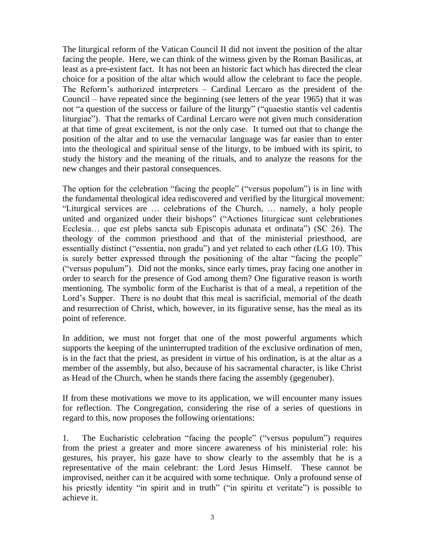The liturgical reform of the Vatican Council II did not invent the position of the altar facing the people. Here, we can think of the witness given by the Roman Basilicas, at least as a pre-existent fact. It has not been an historic fact which has directed the clear choice for a position of the altar which would allow the celebrant to face the people. The Reform's authorized interpreters – Cardinal Lercaro as the president of the Council – have repeated since the beginning (see letters of the year 1965) that it was not "a question of the success or failure of the liturgy" ("quaestio stantis vel cadentis liturgiae"). That the remarks of Cardinal Lercaro were not given much consideration at that time of great excitement, is not the only case. It turned out that to change the position of the altar and to use the vernacular language was far easier than to enter into the theological and spiritual sense of the liturgy, to be imbued with its spirit, to study the history and the meaning of the rituals, and to analyze the reasons for the new changes and their pastoral consequences.

The option for the celebration "facing the people" ("versus popolum") is in line with the fundamental theological idea rediscovered and verified by the liturgical movement: "Liturgical services are … celebrations of the Church, … namely, a holy people united and organized under their bishops" ("Actiones liturgicae sunt celebrationes Ecclesia… que est plebs sancta sub Episcopis adunata et ordinata") (SC 26). The theology of the common priesthood and that of the ministerial priesthood, are essentially distinct ("essentia, non gradu") and yet related to each other (LG 10). This is surely better expressed through the positioning of the altar "facing the people" ("versus populum"). Did not the monks, since early times, pray facing one another in order to search for the presence of God among them? One figurative reason is worth mentioning. The symbolic form of the Eucharist is that of a meal, a repetition of the Lord's Supper. There is no doubt that this meal is sacrificial, memorial of the death and resurrection of Christ, which, however, in its figurative sense, has the meal as its point of reference.

In addition, we must not forget that one of the most powerful arguments which supports the keeping of the uninterrupted tradition of the exclusive ordination of men, is in the fact that the priest, as president in virtue of his ordination, is at the altar as a member of the assembly, but also, because of his sacramental character, is like Christ as Head of the Church, when he stands there facing the assembly (gegenuber).

If from these motivations we move to its application, we will encounter many issues for reflection. The Congregation, considering the rise of a series of questions in regard to this, now proposes the following orientations:

1. The Eucharistic celebration "facing the people" ("versus populum") requires from the priest a greater and more sincere awareness of his ministerial role: his gestures, his prayer, his gaze have to show clearly to the assembly that he is a representative of the main celebrant: the Lord Jesus Himself. These cannot be improvised, neither can it be acquired with some technique. Only a profound sense of his priestly identity "in spirit and in truth" ("in spiritu et veritate") is possible to achieve it.